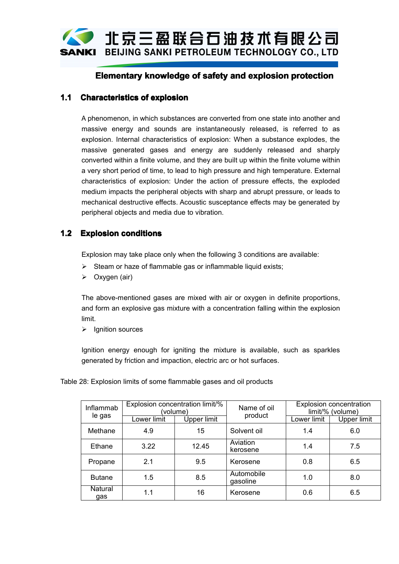

# **Elementary knowledge of safety and explosion protection**

## **1.1 Characteristics Characteristicsof explosion explosion**

A phenomenon, in which substances are converted from one state into another and massive energy and sounds are instantaneously released, is referred to as explosion. Internal characteristics of explosion: When <sup>a</sup> substance explodes, the massive generated gases and energy are suddenly released and sharply converted within <sup>a</sup> finite volume, and they are built up within the finite volume within <sup>a</sup> very short period of time, to lead to high pressure and high temperature. External characteristics of explosion: Under the action of pressure effects, the exploded medium impacts the peripheral objects with sharp and abrupt pressure, or leads to mechanical destructive effects. Acoustic susceptance effects may be generated by peripheral objects and media due to vibration.

## **1.2 Explosion conditions conditions**

Explosion may take place only when the following 3 conditions are available:

- $\triangleright$  Steam or haze of flammable gas or inflammable liquid exists;
- $\triangleright$  Oxygen (air)

The above-mentioned gases are mixed with air or oxygen in definite proportions, and form an explosive gas mixture with <sup>a</sup> concentration falling within the explosion limit.

 $\triangleright$  Ignition sources

Ignition energy enough for igniting the mixture is available, such as sparkles generated by friction and impaction, electric arc or hot surfaces.

| Inflammab<br>le gas | Explosion concentration limit/%<br>(volume) |             | Name of oil<br>product | <b>Explosion concentration</b><br>limit/% (volume) |             |
|---------------------|---------------------------------------------|-------------|------------------------|----------------------------------------------------|-------------|
|                     | Lower limit                                 | Upper limit |                        | Lower limit                                        | Upper limit |
| Methane             | 4.9                                         | 15          | Solvent oil            | 1.4                                                | 6.0         |
| Ethane              | 3.22                                        | 12.45       | Aviation<br>kerosene   | 1.4                                                | 7.5         |
| Propane             | 2.1                                         | 9.5         | Kerosene               | 0.8                                                | 6.5         |
| <b>Butane</b>       | 1.5                                         | 8.5         | Automobile<br>gasoline | 1.0                                                | 8.0         |
| Natural<br>gas      | 1.1                                         | 16          | Kerosene               | 0.6                                                | 6.5         |

Table 28: Explosion limits of some flammable gases and oil products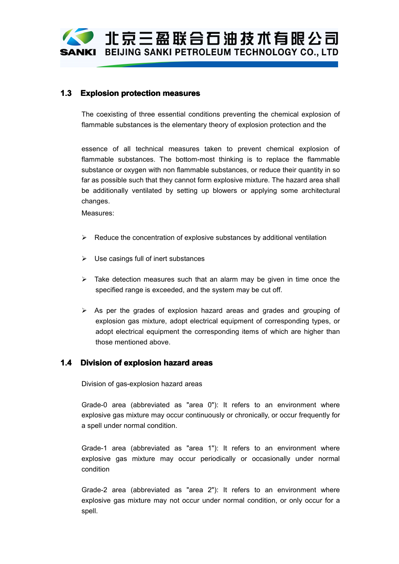'北京三盈联合石油技术有限公司 BEIJING SANKI PETROLEUM TECHNOLOGY CO., LTD

## **1.3 Explosion protection measures measures measuresmeasures**

The coexisting of three essential conditions preventing the chemical explosion of flammable substances is the elementary theory of explosion protection and the

essence of all technical measures taken to prevent chemical explosion of flammable substances. The bottom-most thinking is to replace the flammable substance or oxygen with non flammable substances, or reduce their quantity in so far as possible such that they cannot form explosive mixture. The hazard area shall be additionally ventilated by setting up blowers or applying some architectural changes.

Measures:

- $\triangleright$  Reduce the concentration of explosive substances by additional ventilation
- $\triangleright$  Use casings full of inert substances
- $\triangleright$  Take detection measures such that an alarm may be given in time once the specified range is exceeded, and the system may be cut off.
- $\triangleright$  As per the grades of explosion hazard areas and grades and grouping of explosion gas mixture, adopt electrical equipment of corresponding types, or adopt electrical equipment the corresponding items of which are higher than those mentioned above.

### **1.4 Division of explosion explosionhazard areas**

Division of gas-explosion hazard areas

Grade-0 area (abbreviated as "area 0"): It refers to an environment where explosive gas mixture may occur continuously or chronically, or occur frequently for <sup>a</sup> spell under normal condition.

Grade-1 area (abbreviated as "area 1"): It refers to an environment where explosive gas mixture may occur periodically or occasionally under normal condition

Grade-2 area (abbreviated as "area 2"): It refers to an environment where explosive gas mixture may not occur under normal condition, or only occur for <sup>a</sup> spell.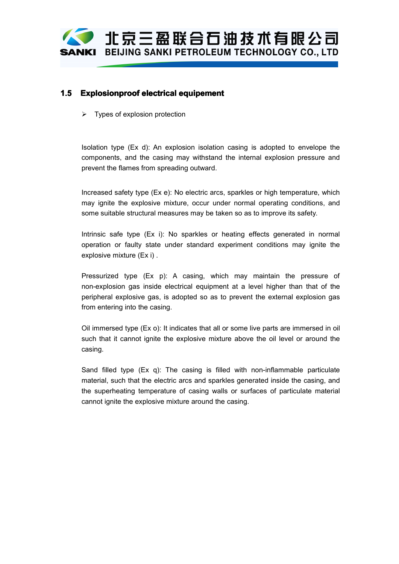'北京三盈联合石油技术有限公司 BEIJING SANKI PETROLEUM TECHNOLOGY CO., LTD SANKI

## **1.5 Explosionproof Explosionproof ExplosionproofExplosionproofelectrical electrical equipement equipement**

 $\triangleright$  Types of explosion protection

Isolation type (Ex d): An explosion isolation casing is adopted to envelope the components, and the casing may withstand the internal explosion pressure and prevent the flames from spreading outward.

Increased safety type (Ex e): No electric arcs, sparkles or high temperature, which may ignite the explosive mixture, occur under normal operating conditions, and some suitable structural measures may be taken so as to improve its safety.

Intrinsic safe type (Ex i): No sparkles or heating effects generated in normal operation or faulty state under standard experiment conditions may ignite the explosive mixture (Ex i) .

Pressurized type (Ex p): A casing, which may maintain the pressure of non-explosion gas inside electrical equipment at <sup>a</sup> level higher than that of the peripheral explosive gas, is adopted so as to prevent the external explosion gas from entering into the casing.

Oil immersed type (Ex o): It indicates that all or some live parts are immersed in oil such that it cannot ignite the explosive mixture above the oil level or around the casing.

Sand filled type  $(Ex q)$ : The casing is filled with non-inflammable particulate material, such that the electric arcs and sparkles generated inside the casing, and the superheating temperature of casing walls or surfaces of particulate material cannot ignite the explosive mixture around the casing.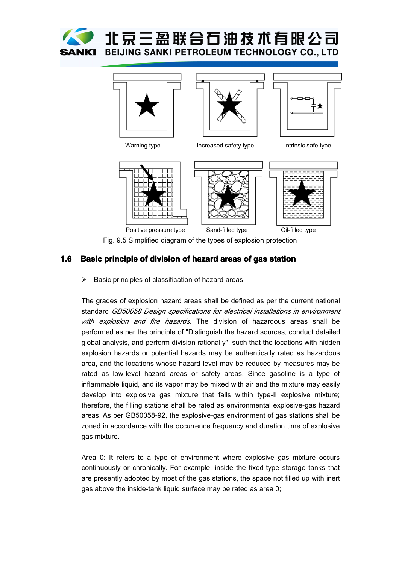







Warning type **Increased safety type** Intrinsic safe type



Fig. 9.5 Simplified diagram of the types of explosion protection

## **1.6 Basic principle principle of division of hazard areas of gas station**

 $\triangleright$  Basic principles of classification of hazard areas

The grades of explosion hazard areas shall be defined as per the current national standard *GB50058 Design specifications for electrical installations in environment with explosion and fire hazards*. The division of hazardous areas shall be performed as per the principle of "Distinguish the hazard sources, conduct detailed global analysis, and perform division rationally", such that the locations with hidden explosion hazards or potential hazards may be authentically rated as hazardous area, and the locations whose hazard level may be reduced by measures may be rated as low-level hazard areas or safety areas. Since gasoline is <sup>a</sup> type of inflammable liquid, and its vapor may be mixed with air and the mixture may easily develop into explosive gas mixture that falls within type-II explosive mixture; therefore, the filling stations shall be rated as environmental explosive-gas hazard areas. As per GB50058-92, the explosive-gas environment of gas stations shall be zoned in accordance with the occurrence frequency and duration time of explosive gas mixture.

Area 0: It refers to <sup>a</sup> type of environment where explosive gas mixture occurs continuously or chronically. For example, inside the fixed-type storage tanks that are presently adopted by most of the gas stations, the space not filled up with inert gas above the inside-tank liquid surface may be rated as area 0;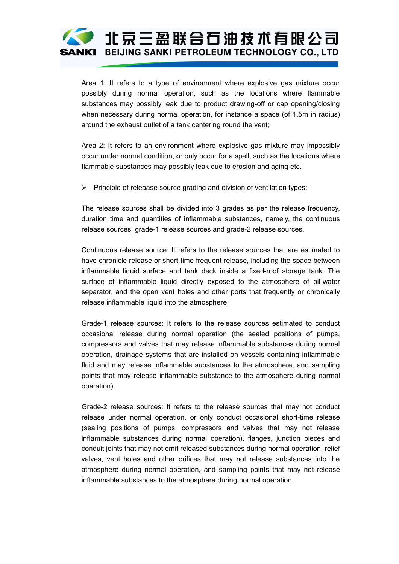

Area 1: It refers to <sup>a</sup> type of environment where explosive gas mixture occur possibly during normal operation, such as the locations where flammable substances may possibly leak due to product drawing-off or capopening/closing when necessary during normal operation, for instance a space (of 1.5m in radius) around the exhaust outlet of <sup>a</sup> tank centering round the vent;

Area 2: It refers to an environment where explosive gas mixture may impossibly occur under normal condition, or only occur for <sup>a</sup> spell, such as the locations where flammable substances may possibly leak due to erosion and aging etc.

 $\triangleright$  Principle of releaase source grading and division of ventilation types:

The release sources shall be divided into 3 grades as per the release frequency, duration time and quantities of inflammable substances, namely, the continuous release sources, grade-1 release sources and grade-2 release sources.

Continuous release source: It refers to the release sources that are estimated to have chronicle release or short-time frequent release, including the space between inflammable liquid surface and tank deck inside <sup>a</sup> fixed-roof storage tank. The surface of inflammable liquid directly exposed to the atmosphere of oil-water separator, and the open vent holes and other ports that frequently or chronically release inflammable liquid into the atmosphere.

Grade-1 release sources: It refers to the release sources estimated to conduct occasional release during normal operation (the sealed positions of pumps, compressors and valves that may release inflammable substances during normal operation, drainage systems that are installed on vessels containing inflammable fluid and may release inflammable substances to the atmosphere, and sampling points that may release inflammable substance to the atmosphere during normal operation).

Grade-2 release sources: It refers to the release sources that may not conduct release under normal operation, or only conduct occasional short-time release (sealing positions of pumps, compressors and valves that may not release inflammable substances during normal operation), flanges, junction pieces and conduit joints that may not emit released substances during normal operation, relief valves, vent holes and other orifices that may not release substances into the atmosphere during normal operation, and sampling points that may not release inflammable substances to the atmosphere during normal operation.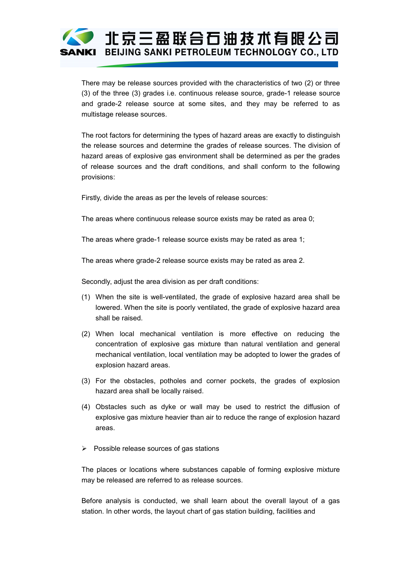# 1 北京三盈联合石油技术有限公司 BEIJING SANKI PETROLEUM TECHNOLOGY CO., LTD

There may be release sources provided with the characteristics of two (2) or three (3) of the three (3) grades i.e. continuous release source, grade-1 release source and grade-2 release source at some sites, and they may be referred to as multistage release sources.

The root factors for determining the types of hazard areas are exactly to distinguish the release sources and determine the grades of release sources. The division of hazard areas of explosive gas environment shall be determined as per the grades of release sources and the draft conditions, and shall conform to the following provisions:

Firstly, divide the areas as per the levels of release sources:

The areas where continuous release source exists may be rated as area 0;

The areas where grade-1 release source exists may be rated as area 1;

The areas where grade-2 release source exists may be rated as area 2.

Secondly, adjust the area division as per draft conditions:

- (1) When the site is well-ventilated, the grade of explosive hazard area shall be lowered. When the site is poorly ventilated, the grade of explosive hazard area shall be raised.
- (2) When local mechanical ventilation is more effective on reducing the concentration of explosive gas mixture than natural ventilation and general mechanical ventilation, local ventilation may be adopted to lower the grades of explosion hazard areas.
- (3) For the obstacles, potholes and corner pockets, the grades of explosion hazard area shall be locally raised.
- (4) Obstacles such as dyke or wall may be used to restrict the diffusion of explosive gas mixture heavier than air to reduce the range of explosion hazard areas.
- $\triangleright$  Possible release sources of gas stations

The places or locations where substances capable of forming explosive mixture may be released are referred to as release sources.

Before analysis is conducted, we shall learn about the overall layout of <sup>a</sup> gas station. In other words, the layout chart of gas station building, facilities and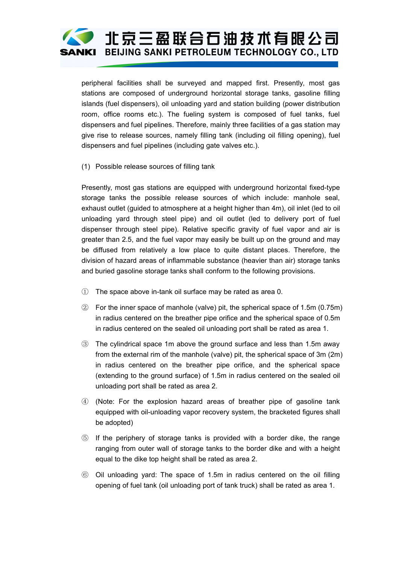

peripheral facilities shall be surveyed and mapped first. Presently, most gas stations are composed of underground horizontal storage tanks, gasoline filling islands (fuel dispensers), oil unloading yard and station building (power distribution room, office rooms etc.). The fueling system is composed of fuel tanks, fuel dispensers and fuel pipelines. Therefore, mainly three facilities of <sup>a</sup> gas station may give rise to release sources, namely filling tank (including oil filling opening), fuel dispensers and fuel pipelines (including gate valves etc.).

(1) Possible release sources of filling tank

Presently, most gas stations are equipped with underground horizontal fixed-type storage tanks the possible release sources of which include: manhole seal, exhaust outlet (guided to atmosphere at <sup>a</sup> height higher than 4m), oil inlet (led to oil unloading yard through steel pipe) and oil outlet (led to delivery port of fuel dispenser through steel pipe). Relative specific gravity of fuel vapor and air is greater than 2.5, and the fuel vapor may easily be built up on the ground and may be diffused from relatively a low place to quite distant places. Therefore, the division of hazard areas of inflammable substance (heavier than air) storage tanks and buried gasoline storage tanks shall conform to the following provisions.

- ① The space above in-tank oil surface may be rated as area 0.
- ② For the inner space of manhole (valve) pit, the spherical space of 1.5m (0.75m) in radius centered on the breather pipe orifice and the spherical space of 0.5m in radius centered on the sealed oil unloading port shall be rated as area 1.
- ③ The cylindrical space 1m above the ground surface and less than 1.5maway from the external rim of the manhole (valve) pit, the spherical space of 3m(2m) in radius centered on the breather pipe orifice, and the spherical space (extending to the ground surface) of 1.5m in radius centered on the sealed oil unloading port shall be rated as area 2.
- ④ (Note: For the explosion hazard areas of breather pipe of gasoline tank equipped with oil-unloading vapor recovery system, the bracketed figures shall be adopted)
- ⑤ If the periphery of storage tanks is provided with <sup>a</sup> border dike, the range ranging from outer wall of storage tanks to the border dike and with <sup>a</sup> height equal to the dike top height shall be rated as area 2.
- ⑥ Oil unloading yard: The space of 1.5m in radius centered on the oil filling opening of fuel tank (oil unloading port of tank truck) shall be rated as area 1.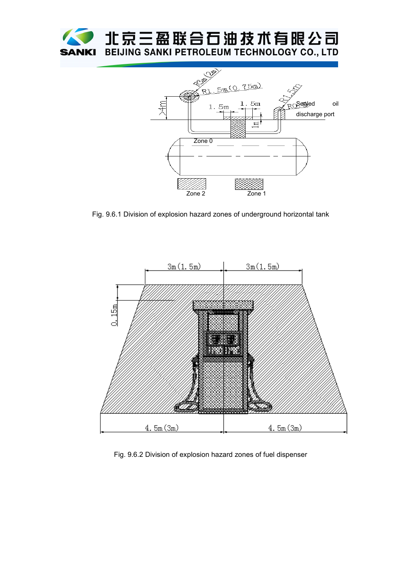



Fig. 9.6.1 Division of explosion hazard zones of underground horizontal tank



Fig. 9.6.2 Division of explosion hazard zones of fuel dispenser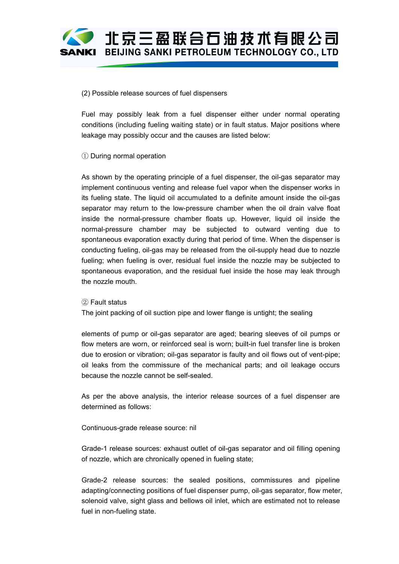

#### (2) Possible release sources of fuel dispensers

Fuel may possibly leak from <sup>a</sup> fuel dispenser either under normal operating conditions (including fueling waiting state) or in fault status. Major positions where leakage may possibly occur and the causes are listed below:

### ① During normal operation

As shown by the operating principle of <sup>a</sup> fuel dispenser, the oil-gas separator may implement continuous venting and release fuel vapor when the dispenser works in its fueling state. The liquid oil accumulated to <sup>a</sup> definite amount inside the oil-gas separator may return to the low-pressure chamber when the oil drain valve float inside the normal-pressure chamber floats up. However, liquid oil inside the normal-pressure chamber may be subjected to outward venting due to spontaneous evaporation exactly during that period of time. When the dispenser is conducting fueling, oil-gas may be released from the oil-supply head due to nozzle fueling; when fueling is over, residual fuel inside the nozzle may be subjected to spontaneous evaporation, and the residual fuel inside the hose may leak through the nozzle mouth.

#### ② Fault status

The joint packing of oil suction pipe and lower flange is untight; the sealing

elements of pump or oil-gas separator are aged; bearing sleeves of oil pumps or flow meters are worn, or reinforced seal is worn; built-in fuel transfer line is broken due to erosion or vibration; oil-gas separator is faulty and oil flows out of vent-pipe; oil leaks from the commissure of the mechanical parts; and oil leakage occurs because the nozzle cannot be self-sealed.

As per the above analysis, the interior release sources of <sup>a</sup> fuel dispenser are determined as follows:

#### Continuous-grade release source: nil

Grade-1 release sources: exhaust outlet of oil-gas separator and oil filling opening of nozzle, which are chronically opened in fueling state;

Grade-2 release sources: the sealed positions, commissures and pipeline adapting/connecting positions of fuel dispenser pump, oil-gas separator, flow meter, solenoid valve, sight glass and bellows oil inlet, which are estimated not to release fuel in non-fueling state.